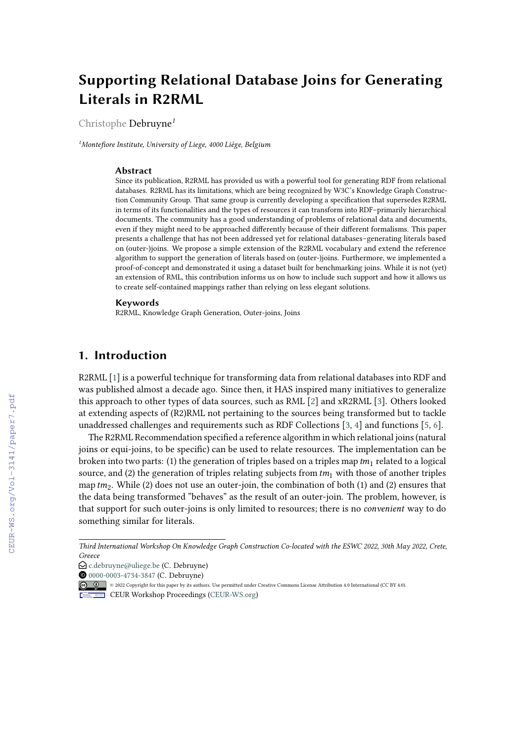# **Supporting Relational Database Joins for Generating Literals in R2RML**

Christophe Debruyne*<sup>1</sup>*

*<sup>1</sup>Montefiore Institute, University of Liege, 4000 Liège, Belgium*

#### **Abstract**

Since its publication, R2RML has provided us with a powerful tool for generating RDF from relational databases. R2RML has its limitations, which are being recognized by W3C's Knowledge Graph Construction Community Group. That same group is currently developing a specification that supersedes R2RML in terms of its functionalities and the types of resources it can transform into RDF–primarily hierarchical documents. The community has a good understanding of problems of relational data and documents, even if they might need to be approached differently because of their different formalisms. This paper presents a challenge that has not been addressed yet for relational databases–generating literals based on (outer-)joins. We propose a simple extension of the R2RML vocabulary and extend the reference algorithm to support the generation of literals based on (outer-)joins. Furthermore, we implemented a proof-of-concept and demonstrated it using a dataset built for benchmarking joins. While it is not (yet) an extension of RML, this contribution informs us on how to include such support and how it allows us to create self-contained mappings rather than relying on less elegant solutions.

#### **Keywords**

R2RML, Knowledge Graph Generation, Outer-joins, Joins

## **1. Introduction**

R2RML [\[1\]](#page--1-0) is a powerful technique for transforming data from relational databases into RDF and was published almost a decade ago. Since then, it HAS inspired many initiatives to generalize this approach to other types of data sources, such as RML [\[2\]](#page--1-1) and xR2RML [\[3\]](#page--1-2). Others looked at extending aspects of (R2)RML not pertaining to the sources being transformed but to tackle unaddressed challenges and requirements such as RDF Collections [\[3,](#page--1-2) [4\]](#page--1-3) and functions [\[5,](#page--1-4) [6\]](#page--1-5).

The R2RML Recommendation specified a reference algorithm in which relational joins (natural joins or equi-joins, to be specific) can be used to relate resources. The implementation can be broken into two parts: (1) the generation of triples based on a triples map  $tm_1$  related to a logical source, and (2) the generation of triples relating subjects from  $tm_1$  with those of another triples map  $tm_2$ . While (2) does not use an outer-join, the combination of both (1) and (2) ensures that the data being transformed "behaves" as the result of an outer-join. The problem, however, is that support for such outer-joins is only limited to resources; there is no *convenient* way to do something similar for literals.

*Third International Workshop On Knowledge Graph Construction Co-located with the ESWC 2022, 30th May 2022, Crete, Greece*

 $\bigcirc$  [c.debruyne@uliege.be](mailto:c.debruyne@uliege.be) (C. Debruyne)

**<sup>@</sup>** [0000-0003-4734-3847](https://orcid.org/0000-0003-4734-3847) (C. Debruyne)

<sup>© 2022</sup> Copyright for this paper by its authors. Use permitted under Creative Commons License Attribution 4.0 International (CC BY 4.0).

CEUR Workshop [Proceedings](http://ceur-ws.org) [\(CEUR-WS.org\)](http://ceur-ws.org)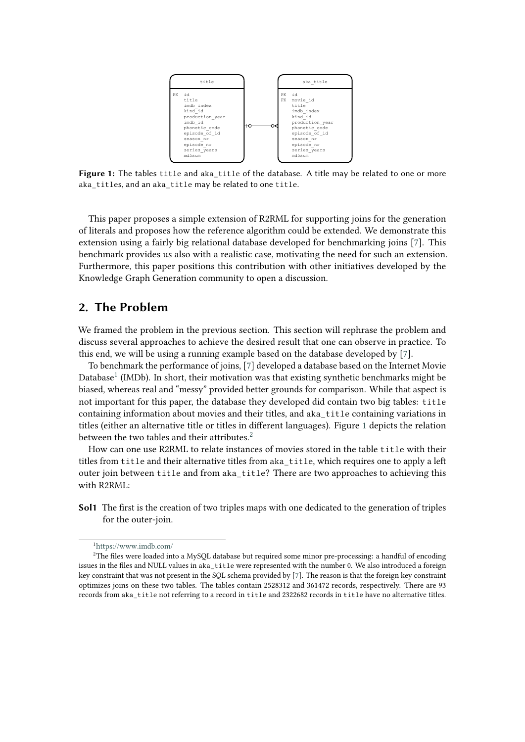<span id="page-1-1"></span>

**Figure 1:** The tables title and aka\_title of the database. A title may be related to one or more aka\_titles, and an aka\_title may be related to one title.

This paper proposes a simple extension of R2RML for supporting joins for the generation of literals and proposes how the reference algorithm could be extended. We demonstrate this extension using a fairly big relational database developed for benchmarking joins [\[7\]](#page-7-0). This benchmark provides us also with a realistic case, motivating the need for such an extension. Furthermore, this paper positions this contribution with other initiatives developed by the Knowledge Graph Generation community to open a discussion.

## **2. The Problem**

We framed the problem in the previous section. This section will rephrase the problem and discuss several approaches to achieve the desired result that one can observe in practice. To this end, we will be using a running example based on the database developed by [\[7\]](#page-7-0).

To benchmark the performance of joins, [\[7\]](#page-7-0) developed a database based on the Internet Movie Database<sup>[1](#page-1-0)</sup> (IMDb). In short, their motivation was that existing synthetic benchmarks might be biased, whereas real and "messy" provided better grounds for comparison. While that aspect is not important for this paper, the database they developed did contain two big tables: title containing information about movies and their titles, and aka\_title containing variations in titles (either an alternative title or titles in different languages). Figure [1](#page-1-1) depicts the relation between the two tables and their attributes. $2^2$  $2^2$ 

How can one use R2RML to relate instances of movies stored in the table title with their titles from title and their alternative titles from aka\_title, which requires one to apply a left outer join between title and from aka\_title? There are two approaches to achieving this with R2RML:

**Sol1** The first is the creation of two triples maps with one dedicated to the generation of triples for the outer-join.

<span id="page-1-2"></span><span id="page-1-0"></span><sup>1</sup><https://www.imdb.com/>

<sup>&</sup>lt;sup>2</sup>The files were loaded into a MySQL database but required some minor pre-processing: a handful of encoding issues in the files and NULL values in aka\_title were represented with the number 0. We also introduced a foreign key constraint that was not present in the SQL schema provided by [\[7\]](#page-7-0). The reason is that the foreign key constraint optimizes joins on these two tables. The tables contain 2528312 and 361472 records, respectively. There are 93 records from aka\_title not referring to a record in title and 2322682 records in title have no alternative titles.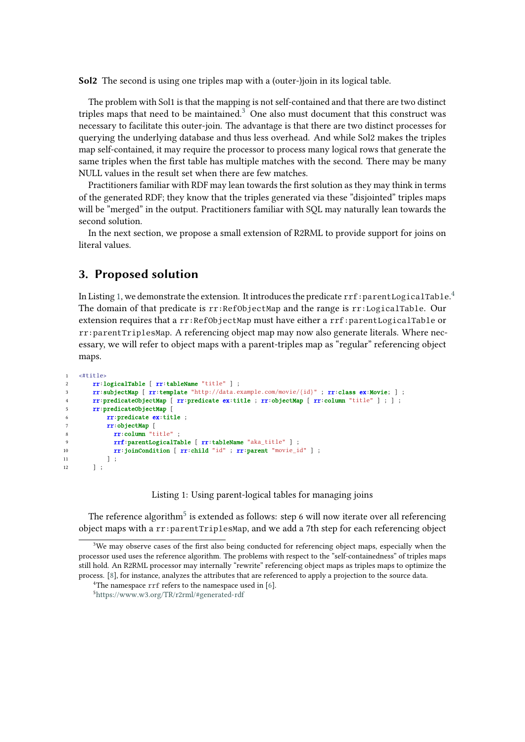**Sol2** The second is using one triples map with a (outer-)join in its logical table.

The problem with Sol1 is that the mapping is not self-contained and that there are two distinct triples maps that need to be maintained. $3\overline{}$  $3\overline{}$  One also must document that this construct was necessary to facilitate this outer-join. The advantage is that there are two distinct processes for querying the underlying database and thus less overhead. And while Sol2 makes the triples map self-contained, it may require the processor to process many logical rows that generate the same triples when the first table has multiple matches with the second. There may be many NULL values in the result set when there are few matches.

Practitioners familiar with RDF may lean towards the first solution as they may think in terms of the generated RDF; they know that the triples generated via these "disjointed" triples maps will be "merged" in the output. Practitioners familiar with SQL may naturally lean towards the second solution.

In the next section, we propose a small extension of R2RML to provide support for joins on literal values.

## **3. Proposed solution**

In Listing [1,](#page-2-1) we demonstrate the extension. It introduces the predicate  $\text{rrf}$  : parent LogicalTable. $^4$  $^4$ The domain of that predicate is rr:RefObjectMap and the range is rr:LogicalTable. Our extension requires that a rr:RefObjectMap must have either a rrf:parentLogicalTable or rr:parentTriplesMap. A referencing object map may now also generate literals. Where necessary, we will refer to object maps with a parent-triples map as "regular" referencing object maps.

```
1 \times #+1+1e2 rr:logicalTable [ rr:tableName "title" ] ;
3 rr:subjectMap [ rr:template "http://data.example.com/movie/{id}" ; rr:class ex:Movie; ] ;
4 rr:predicateObjectMap [ rr:predicate ex:title ; rr:objectMap [ rr:column "title" ] ; ] ;
5 rr:predicateObjectMap [
6 rr:predicate ex:title ;
7 rr:objectMap [
8 rr:column "title" ;
9 rrf:parentLogicalTable [ rr:tableName "aka_title" ] ;
10 rr:joinCondition [ rr:child "id" ; rr:parent "movie id" ] ;
11 \qquad ] ;
12 \t 13
```
Listing 1: Using parent-logical tables for managing joins

<span id="page-2-1"></span>The reference algorithm $^5$  $^5$  is extended as follows: step 6 will now iterate over all referencing object maps with a rr:parentTriplesMap, and we add a 7th step for each referencing object

<span id="page-2-0"></span> $3$ We may observe cases of the first also being conducted for referencing object maps, especially when the processor used uses the reference algorithm. The problems with respect to the "self-containedness" of triples maps still hold. An R2RML processor may internally "rewrite" referencing object maps as triples maps to optimize the process. [\[8\]](#page-7-1), for instance, analyzes the attributes that are referenced to apply a projection to the source data.

<span id="page-2-2"></span><sup>&</sup>lt;sup>4</sup>The namespace rrf refers to the namespace used in  $[6]$ .

<span id="page-2-3"></span><sup>5</sup><https://www.w3.org/TR/r2rml/#generated-rdf>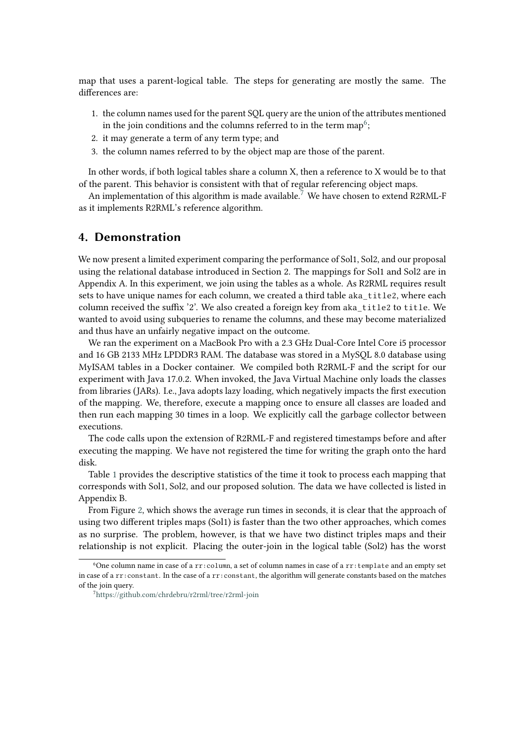map that uses a parent-logical table. The steps for generating are mostly the same. The differences are:

- 1. the column names used for the parent SQL query are the union of the attributes mentioned in the join conditions and the columns referred to in the term map $^6;$  $^6;$  $^6;$
- 2. it may generate a term of any term type; and
- 3. the column names referred to by the object map are those of the parent.

In other words, if both logical tables share a column X, then a reference to X would be to that of the parent. This behavior is consistent with that of regular referencing object maps.

An implementation of this algorithm is made available.<sup>[7](#page-3-1)</sup> We have chosen to extend R2RML-F as it implements R2RML's reference algorithm.

### **4. Demonstration**

We now present a limited experiment comparing the performance of Sol1, Sol2, and our proposal using the relational database introduced in Section 2. The mappings for Sol1 and Sol2 are in Appendix A. In this experiment, we join using the tables as a whole. As R2RML requires result sets to have unique names for each column, we created a third table aka\_title2, where each column received the suffix '2'. We also created a foreign key from aka\_title2 to title. We wanted to avoid using subqueries to rename the columns, and these may become materialized and thus have an unfairly negative impact on the outcome.

We ran the experiment on a MacBook Pro with a 2.3 GHz Dual-Core Intel Core i5 processor and 16 GB 2133 MHz LPDDR3 RAM. The database was stored in a MySQL 8.0 database using MyISAM tables in a Docker container. We compiled both R2RML-F and the script for our experiment with Java 17.0.2. When invoked, the Java Virtual Machine only loads the classes from libraries (JARs). I.e., Java adopts lazy loading, which negatively impacts the first execution of the mapping. We, therefore, execute a mapping once to ensure all classes are loaded and then run each mapping 30 times in a loop. We explicitly call the garbage collector between executions.

The code calls upon the extension of R2RML-F and registered timestamps before and after executing the mapping. We have not registered the time for writing the graph onto the hard disk.

Table [1](#page-4-0) provides the descriptive statistics of the time it took to process each mapping that corresponds with Sol1, Sol2, and our proposed solution. The data we have collected is listed in Appendix B.

From Figure [2,](#page-4-1) which shows the average run times in seconds, it is clear that the approach of using two different triples maps (Sol1) is faster than the two other approaches, which comes as no surprise. The problem, however, is that we have two distinct triples maps and their relationship is not explicit. Placing the outer-join in the logical table (Sol2) has the worst

<span id="page-3-0"></span><sup>&</sup>lt;sup>6</sup>One column name in case of a  $rr:$ column, a set of column names in case of a  $rr:$ template and an empty set in case of a rr:constant. In the case of a rr:constant, the algorithm will generate constants based on the matches of the join query.

<span id="page-3-1"></span><sup>7</sup><https://github.com/chrdebru/r2rml/tree/r2rml-join>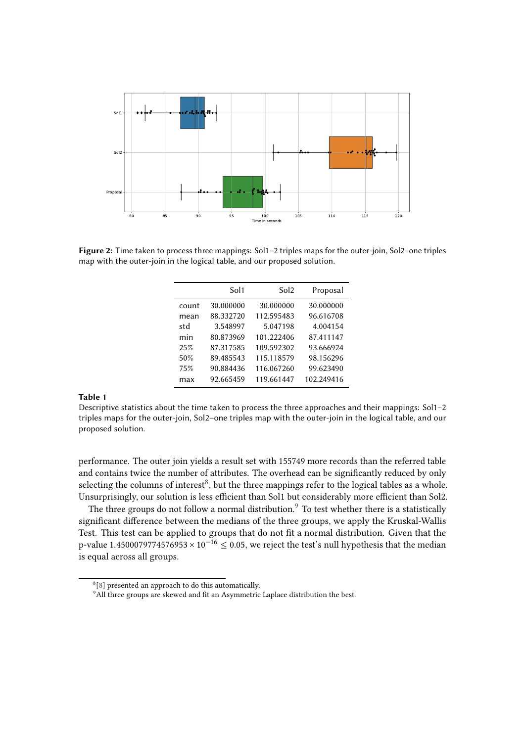

**Figure 2:** Time taken to process three mappings: Sol1–2 triples maps for the outer-join, Sol2–one triples map with the outer-join in the logical table, and our proposed solution.

<span id="page-4-1"></span><span id="page-4-0"></span>

|       | Sol <sub>1</sub> | Sol2       | Proposal   |
|-------|------------------|------------|------------|
| count | 30.000000        | 30.000000  | 30.000000  |
| mean  | 88.332720        | 112.595483 | 96.616708  |
| std   | 3.548997         | 5.047198   | 4.004154   |
| min   | 80.873969        | 101.222406 | 87.411147  |
| 25%   | 87.317585        | 109.592302 | 93.666924  |
| 50%   | 89.485543        | 115.118579 | 98.156296  |
| 75%   | 90.884436        | 116.067260 | 99.623490  |
| max   | 92.665459        | 119.661447 | 102.249416 |

#### **Table 1**

Descriptive statistics about the time taken to process the three approaches and their mappings: Sol1–2 triples maps for the outer-join, Sol2–one triples map with the outer-join in the logical table, and our proposed solution.

performance. The outer join yields a result set with 155749 more records than the referred table and contains twice the number of attributes. The overhead can be significantly reduced by only selecting the columns of interest<sup>[8](#page-4-2)</sup>, but the three mappings refer to the logical tables as a whole. Unsurprisingly, our solution is less efficient than Sol1 but considerably more efficient than Sol2.

The three groups do not follow a normal distribution.<sup>[9](#page-4-3)</sup> To test whether there is a statistically significant difference between the medians of the three groups, we apply the Kruskal-Wallis Test. This test can be applied to groups that do not fit a normal distribution. Given that the p-value 1.4500079774576953 ×  $10^{-16} \le 0.05$ , we reject the test's null hypothesis that the median is equal across all groups.

<span id="page-4-2"></span><sup>&</sup>lt;sup>8</sup>[\[8\]](#page-7-1) presented an approach to do this automatically.

<span id="page-4-3"></span><sup>&</sup>lt;sup>9</sup>All three groups are skewed and fit an Asymmetric Laplace distribution the best.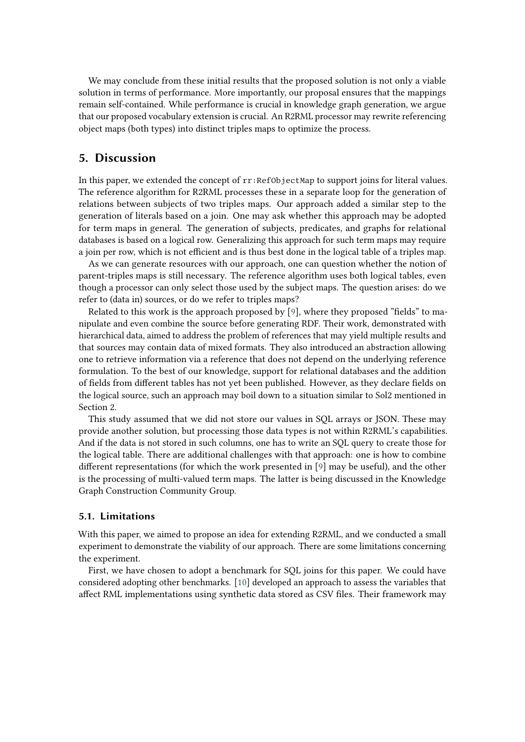We may conclude from these initial results that the proposed solution is not only a viable solution in terms of performance. More importantly, our proposal ensures that the mappings remain self-contained. While performance is crucial in knowledge graph generation, we argue that our proposed vocabulary extension is crucial. An R2RML processor may rewrite referencing object maps (both types) into distinct triples maps to optimize the process.

#### **5. Discussion**

In this paper, we extended the concept of  $rr:RefObjectMap$  to support joins for literal values. The reference algorithm for R2RML processes these in a separate loop for the generation of relations between subjects of two triples maps. Our approach added a similar step to the generation of literals based on a join. One may ask whether this approach may be adopted for term maps in general. The generation of subjects, predicates, and graphs for relational databases is based on a logical row. Generalizing this approach for such term maps may require a join per row, which is not efficient and is thus best done in the logical table of a triples map.

As we can generate resources with our approach, one can question whether the notion of parent-triples maps is still necessary. The reference algorithm uses both logical tables, even though a processor can only select those used by the subject maps. The question arises: do we refer to (data in) sources, or do we refer to triples maps?

Related to this work is the approach proposed by [\[9\]](#page-7-3), where they proposed "fields" to manipulate and even combine the source before generating RDF. Their work, demonstrated with hierarchical data, aimed to address the problem of references that may yield multiple results and that sources may contain data of mixed formats. They also introduced an abstraction allowing one to retrieve information via a reference that does not depend on the underlying reference formulation. To the best of our knowledge, support for relational databases and the addition of fields from different tables has not yet been published. However, as they declare fields on the logical source, such an approach may boil down to a situation similar to Sol2 mentioned in Section 2.

This study assumed that we did not store our values in SQL arrays or JSON. These may provide another solution, but processing those data types is not within R2RML's capabilities. And if the data is not stored in such columns, one has to write an SQL query to create those for the logical table. There are additional challenges with that approach: one is how to combine different representations (for which the work presented in [\[9\]](#page-7-3) may be useful), and the other is the processing of multi-valued term maps. The latter is being discussed in the Knowledge Graph Construction Community Group.

#### **5.1. Limitations**

With this paper, we aimed to propose an idea for extending R2RML, and we conducted a small experiment to demonstrate the viability of our approach. There are some limitations concerning the experiment.

First, we have chosen to adopt a benchmark for SQL joins for this paper. We could have considered adopting other benchmarks. [\[10\]](#page-7-4) developed an approach to assess the variables that affect RML implementations using synthetic data stored as CSV files. Their framework may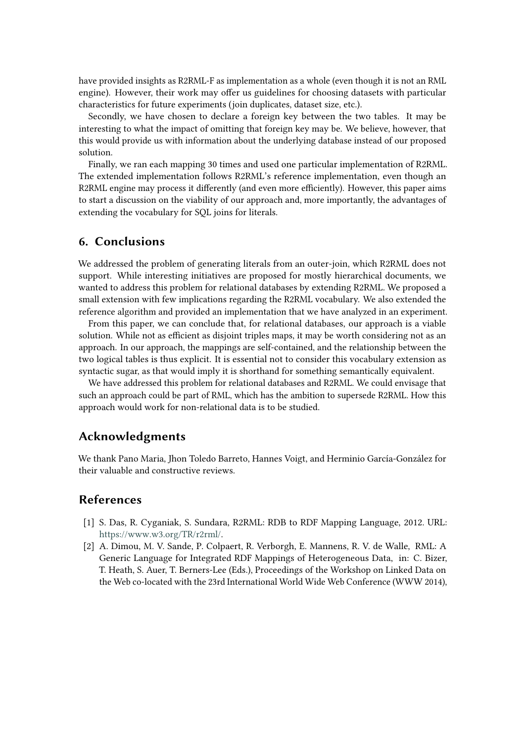have provided insights as R2RML-F as implementation as a whole (even though it is not an RML engine). However, their work may offer us guidelines for choosing datasets with particular characteristics for future experiments (join duplicates, dataset size, etc.).

Secondly, we have chosen to declare a foreign key between the two tables. It may be interesting to what the impact of omitting that foreign key may be. We believe, however, that this would provide us with information about the underlying database instead of our proposed solution.

Finally, we ran each mapping 30 times and used one particular implementation of R2RML. The extended implementation follows R2RML's reference implementation, even though an R2RML engine may process it differently (and even more efficiently). However, this paper aims to start a discussion on the viability of our approach and, more importantly, the advantages of extending the vocabulary for SQL joins for literals.

## **6. Conclusions**

We addressed the problem of generating literals from an outer-join, which R2RML does not support. While interesting initiatives are proposed for mostly hierarchical documents, we wanted to address this problem for relational databases by extending R2RML. We proposed a small extension with few implications regarding the R2RML vocabulary. We also extended the reference algorithm and provided an implementation that we have analyzed in an experiment.

From this paper, we can conclude that, for relational databases, our approach is a viable solution. While not as efficient as disjoint triples maps, it may be worth considering not as an approach. In our approach, the mappings are self-contained, and the relationship between the two logical tables is thus explicit. It is essential not to consider this vocabulary extension as syntactic sugar, as that would imply it is shorthand for something semantically equivalent.

We have addressed this problem for relational databases and R2RML. We could envisage that such an approach could be part of RML, which has the ambition to supersede R2RML. How this approach would work for non-relational data is to be studied.

#### **Acknowledgments**

We thank Pano Maria, Jhon Toledo Barreto, Hannes Voigt, and Herminio García-González for their valuable and constructive reviews.

#### **References**

- [1] S. Das, R. Cyganiak, S. Sundara, R2RML: RDB to RDF Mapping Language, 2012. URL: [https://www.w3.org/TR/r2rml/.](https://www.w3.org/TR/r2rml/)
- [2] A. Dimou, M. V. Sande, P. Colpaert, R. Verborgh, E. Mannens, R. V. de Walle, RML: A Generic Language for Integrated RDF Mappings of Heterogeneous Data, in: C. Bizer, T. Heath, S. Auer, T. Berners-Lee (Eds.), Proceedings of the Workshop on Linked Data on the Web co-located with the 23rd International World Wide Web Conference (WWW 2014),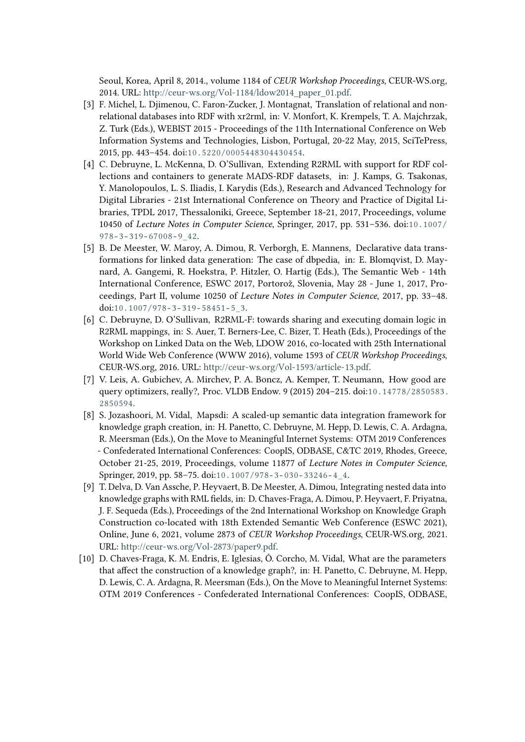Seoul, Korea, April 8, 2014., volume 1184 of *CEUR Workshop Proceedings*, CEUR-WS.org, 2014. URL: [http://ceur-ws.org/Vol-1184/ldow2014\\_paper\\_01.pdf.](http://ceur-ws.org/Vol-1184/ldow2014_paper_01.pdf)

- [3] F. Michel, L. Djimenou, C. Faron-Zucker, J. Montagnat, Translation of relational and nonrelational databases into RDF with xr2rml, in: V. Monfort, K. Krempels, T. A. Majchrzak, Z. Turk (Eds.), WEBIST 2015 - Proceedings of the 11th International Conference on Web Information Systems and Technologies, Lisbon, Portugal, 20-22 May, 2015, SciTePress, 2015, pp. 443–454. doi:[10.5220/0005448304430454](http://dx.doi.org/10.5220/0005448304430454).
- [4] C. Debruyne, L. McKenna, D. O'Sullivan, Extending R2RML with support for RDF collections and containers to generate MADS-RDF datasets, in: J. Kamps, G. Tsakonas, Y. Manolopoulos, L. S. Iliadis, I. Karydis (Eds.), Research and Advanced Technology for Digital Libraries - 21st International Conference on Theory and Practice of Digital Libraries, TPDL 2017, Thessaloniki, Greece, September 18-21, 2017, Proceedings, volume 10450 of *Lecture Notes in Computer Science*, Springer, 2017, pp. 531–536. doi:[10.1007/](http://dx.doi.org/10.1007/978-3-319-67008-9_42)  $978 - 3 - 319 - 67008 - 9$  42.
- [5] B. De Meester, W. Maroy, A. Dimou, R. Verborgh, E. Mannens, Declarative data transformations for linked data generation: The case of dbpedia, in: E. Blomqvist, D. Maynard, A. Gangemi, R. Hoekstra, P. Hitzler, O. Hartig (Eds.), The Semantic Web - 14th International Conference, ESWC 2017, Portorož, Slovenia, May 28 - June 1, 2017, Proceedings, Part II, volume 10250 of *Lecture Notes in Computer Science*, 2017, pp. 33–48. doi:10.1007/978-3-319-58451-5\_3.
- <span id="page-7-2"></span>[6] C. Debruyne, D. O'Sullivan, R2RML-F: towards sharing and executing domain logic in R2RML mappings, in: S. Auer, T. Berners-Lee, C. Bizer, T. Heath (Eds.), Proceedings of the Workshop on Linked Data on the Web, LDOW 2016, co-located with 25th International World Wide Web Conference (WWW 2016), volume 1593 of *CEUR Workshop Proceedings*, CEUR-WS.org, 2016. URL: [http://ceur-ws.org/Vol-1593/article-13.pdf.](http://ceur-ws.org/Vol-1593/article-13.pdf)
- <span id="page-7-0"></span>[7] V. Leis, A. Gubichev, A. Mirchev, P. A. Boncz, A. Kemper, T. Neumann, How good are query optimizers, really?, Proc. VLDB Endow. 9 (2015) 204–215. doi:[10.14778/2850583.](http://dx.doi.org/10.14778/2850583.2850594) [2850594](http://dx.doi.org/10.14778/2850583.2850594).
- <span id="page-7-1"></span>[8] S. Jozashoori, M. Vidal, Mapsdi: A scaled-up semantic data integration framework for knowledge graph creation, in: H. Panetto, C. Debruyne, M. Hepp, D. Lewis, C. A. Ardagna, R. Meersman (Eds.), On the Move to Meaningful Internet Systems: OTM 2019 Conferences - Confederated International Conferences: CoopIS, ODBASE, C&TC 2019, Rhodes, Greece, October 21-25, 2019, Proceedings, volume 11877 of *Lecture Notes in Computer Science*, Springer, 2019, pp. 58–75. doi:10.1007/978-3-030-33246-4\_4.
- <span id="page-7-3"></span>[9] T. Delva, D. Van Assche, P. Heyvaert, B. De Meester, A. Dimou, Integrating nested data into knowledge graphs with RML fields, in: D. Chaves-Fraga, A. Dimou, P. Heyvaert, F. Priyatna, J. F. Sequeda (Eds.), Proceedings of the 2nd International Workshop on Knowledge Graph Construction co-located with 18th Extended Semantic Web Conference (ESWC 2021), Online, June 6, 2021, volume 2873 of *CEUR Workshop Proceedings*, CEUR-WS.org, 2021. URL: [http://ceur-ws.org/Vol-2873/paper9.pdf.](http://ceur-ws.org/Vol-2873/paper9.pdf)
- <span id="page-7-4"></span>[10] D. Chaves-Fraga, K. M. Endris, E. Iglesias, Ó. Corcho, M. Vidal, What are the parameters that affect the construction of a knowledge graph?, in: H. Panetto, C. Debruyne, M. Hepp, D. Lewis, C. A. Ardagna, R. Meersman (Eds.), On the Move to Meaningful Internet Systems: OTM 2019 Conferences - Confederated International Conferences: CoopIS, ODBASE,